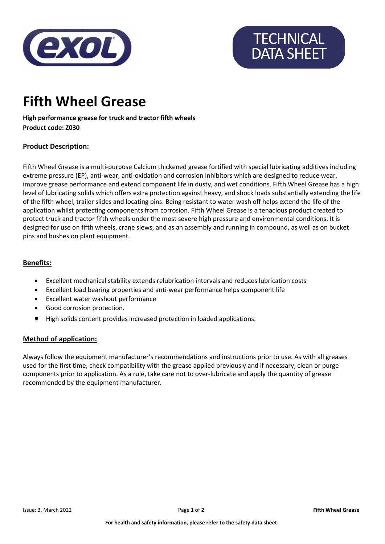

# **TECHNICAL** DATA SHEET

### Fifth Wheel Grease

High performance grease for truck and tractor fifth wheels Product code: Z030

#### Product Description:

Fifth Wheel Grease is a multi-purpose Calcium thickened grease fortified with special lubricating additives including extreme pressure (EP), anti-wear, anti-oxidation and corrosion inhibitors which are designed to reduce wear, improve grease performance and extend component life in dusty, and wet conditions. Fifth Wheel Grease has a high level of lubricating solids which offers extra protection against heavy, and shock loads substantially extending the life of the fifth wheel, trailer slides and locating pins. Being resistant to water wash off helps extend the life of the application whilst protecting components from corrosion. Fifth Wheel Grease is a tenacious product created to protect truck and tractor fifth wheels under the most severe high pressure and environmental conditions. It is designed for use on fifth wheels, crane slews, and as an assembly and running in compound, as well as on bucket pins and bushes on plant equipment.

#### Benefits:

- Excellent mechanical stability extends relubrication intervals and reduces lubrication costs
- Excellent load bearing properties and anti-wear performance helps component life
- Excellent water washout performance
- Good corrosion protection.
- High solids content provides increased protection in loaded applications.

#### Method of application:

Always follow the equipment manufacturer's recommendations and instructions prior to use. As with all greases used for the first time, check compatibility with the grease applied previously and if necessary, clean or purge components prior to application. As a rule, take care not to over-lubricate and apply the quantity of grease recommended by the equipment manufacturer.